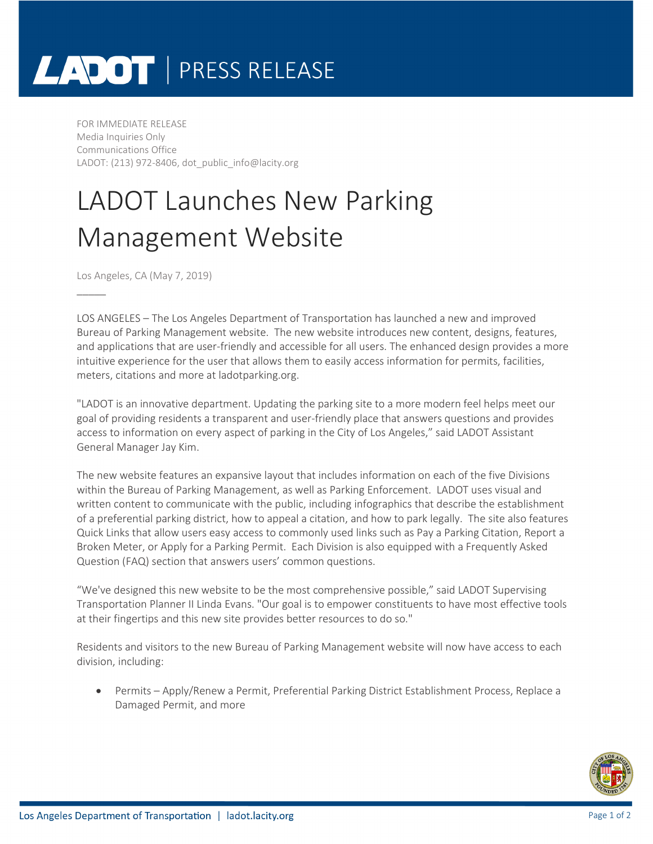## LADOT | PRESS RELEASE

FOR IMMEDIATE RELEASE Media Inquiries Only Communications Office LADOT: (213) 972-8406, dot public\_info@lacity.org

## LADOT Launches New Parking Management Website

Los Angeles, CA (May 7, 2019)

 $\overline{\phantom{a}}$ 

LOS ANGELES – The Los Angeles Department of Transportation has launched a new and improved Bureau of Parking Management website. The new website introduces new content, designs, features, and applications that are user-friendly and accessible for all users. The enhanced design provides a more intuitive experience for the user that allows them to easily access information for permits, facilities, meters, citations and more at ladotparking.org.

"LADOT is an innovative department. Updating the parking site to a more modern feel helps meet our goal of providing residents a transparent and user-friendly place that answers questions and provides access to information on every aspect of parking in the City of Los Angeles," said LADOT Assistant General Manager Jay Kim.

The new website features an expansive layout that includes information on each of the five Divisions within the Bureau of Parking Management, as well as Parking Enforcement. LADOT uses visual and written content to communicate with the public, including infographics that describe the establishment of a preferential parking district, how to appeal a citation, and how to park legally. The site also features Quick Links that allow users easy access to commonly used links such as Pay a Parking Citation, Report a Broken Meter, or Apply for a Parking Permit. Each Division is also equipped with a Frequently Asked Question (FAQ) section that answers users' common questions.

"We've designed this new website to be the most comprehensive possible," said LADOT Supervising Transportation Planner II Linda Evans. "Our goal is to empower constituents to have most effective tools at their fingertips and this new site provides better resources to do so."

Residents and visitors to the new Bureau of Parking Management website will now have access to each division, including:

• Permits – Apply/Renew a Permit, Preferential Parking District Establishment Process, Replace a Damaged Permit, and more